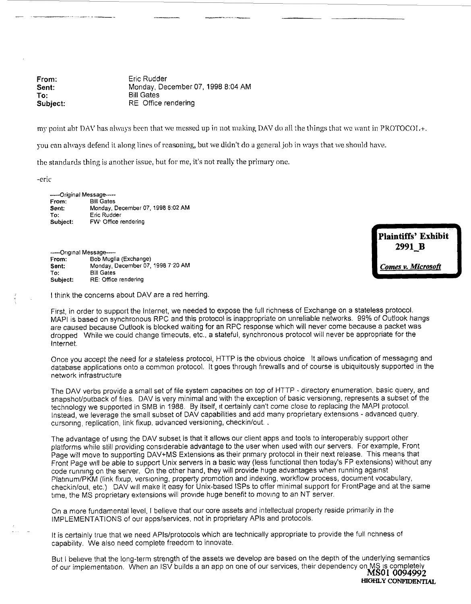From: Eric Rudder **Sent:** Monday, December 07, 1998 8:04 AM **To:** Bill Gates<br> **Subject:** RE Office RE Office rendering

my point abt DAV has always been that we messed up in not making DAV do all the things that we want in PROTOCOL+.

you can always defend it along lines of reasoning, but we didn't do a general job in ways that we should have.

the standards thing is another issue, but for me, it's not really the primary one.

-eric

......Original Message-----From: Bill Gates<br>Sent: Monday D **Sent:** Monday, December 07, 1998 8:02 AM To: Eric Rudder<br>Subject: FW: Office re FW' Office rendering

-----Original Message-----From: Bob Muglia (Exchange)<br>Sent: Monday, December 07, **Sent:** Monday, December 07, 1998 7'20 AM **To: Bill Gates** RE: Office rendering

**Plaintiffs' Exhibit** 2991 B Comes v. Microsoft

I think the concerns about DAV are a red herring.

First, in order to support the Internet, we needed to expose the full richness of Exchange on a stateless protocol. MAPI is based on synchronous RPC and this protocol is inappropriate on unreliable networks. 99% of Qutlook hangs are caused because Outlook is blocked waiting for an RPC response which will never come because a packet was dropped While we could change timeouts, etc., a stateful, synchronous protocol will never be appropriate for the Intemet.

Once you accept the need for a stateless protocol, HTTP is the obvious choice It allows unification of messaging and database applications onto a common protocol. It goes through firewalls and of course is ubiquitously supported in the network infrastructure

The DAV verbs provide a small set of file system capacities on top of HTTP - directory enumeration, basic query, and snapshot/putback of files. DAV is very minimal and with the exception of basic versioning, represents a subset of the technology we supported in SMB in 1988. By itself, it certainly can't come close to replacing the MAPI protocol. Instead, we leverage the small subset of DAV capabilities and add many proprietary extensions - advanced query. cursoring, replication, link fixup, advanced versioning, checkin/out...

The advantage of using the DAY subset is that it allows our client apps and tools to interoperably support other platforms while still providing considerable advantage to the user when used with our servers. For example, Front Page will move to supporting DAY+MS Extensions as their primary protocol in their next release. This means that Front Page will be able to support Unix servers in a basic way (less functional then today's FP extensions) without any code running on the server. On the other hand, they will provide huge advantages when running against Platinum/PKM (link fixup, versioning, property promotion and indexing, workflow process, document vocabulary, checkin/out, etc.) DAV will make it easy for Unix-based ISPs to offer minimal support for FrontPage and at the same time, the MS proprietary extensions will provide huge benefit to moving to an NT server.

On a more fundamental level, I believe that our core assets and intellectual property reside primarily in the IMPLEMENTATIONS of our apps/services, not in proprietary APIs and protocols.

It is certainly true that we need APIs/protocols which are technically appropriate to provide the full richness of capabihty. We also need complete freedom to innovate.

But I beheve that the long-term strength of the assets we develop are based on the depth of the underlying semantics of our implementation. When an ISV builds a an app on one of our services, their dependency on MS is completely MSOI 0094992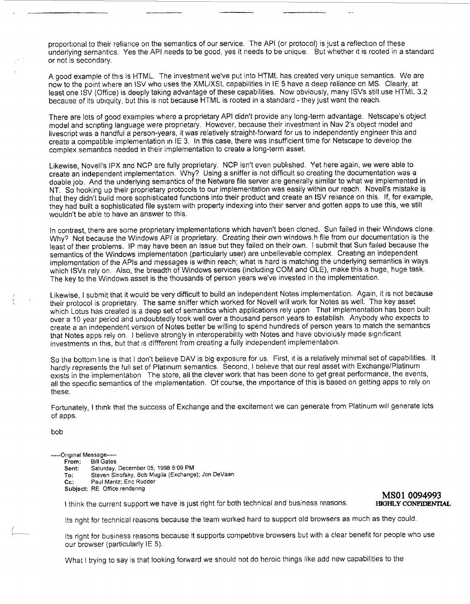proportional to their reliance on the semantics of our service. The API (or protocol) is just a reflection of these underlying semantics. Yes the API needs to be good, yes it needs to be unique. But whether it is rooted in a standard or not is secondary.

A good example of this is HTML. The investment we've put into HTML has created very unique semantics. We are now to the point where an ISV who uses the ×ML/XSL capabilities in IE 5 have a deep reliance on MS. Clearly, at least one ISV (Office) is deeply taking advantage of these capabilities. Now obviously, many ISVs still use HTML 3.2 because of its ubiquity, but this is not because HTML is rooted in a standard - they just want the reach.

There are lots of good examples where a proprietary API didn't provide any long-term advantage. Netscape's object model and scripting language were proprietary. However, because their investment in Nay 2's object model and livescript was a handful a person-years, it was relatively straight-forward for us to independently engineer this and create a compatible implementation in IE 3. In this case, there was insufficient time for Netscape to develop the complex semantics needed in their implementation to create a long-term asset.

Likewise, Novell's IPX and NCP are fully proprietary. NCP isn't even pubhshed. Yet here again, we were able to create an independent implementation. Why? Using a sniffer is not difficult so creating the documentation was a doable job. And the underlying semantics of the Netware file server are generally similar to what we implemented in NT. So hooking up their proprietary protocols to our implementation was easily within our reach. Novell's mistake is that they didn't build more sophisticated functions into their product and create an ISV rehance on this. If, for example, they had built a sophisticated file system with property indexing into their server and gotten apps to use this, we still wouldn't be able to have an answer to this.

In contrast, there are some proprietary implementations which haven't been cloned. Sun failed in their Windows clone. Why? Not because the Windows API is proprietary. Creating their own windows.h file from our documentation is the least of their problems. IP may have been an issue but they failed on their own. I submit that Sun failed because the semantics of the Windows implementation (particularly user) are unbelievable complex. Creating an independent implementation of the APIs and messages is within reach; what is hard is matching the underlying semantics in ways which ISVs rely on. Also, the breadth of Windows services (including COM and OLE), make this a huge, huge task. The key to the Windows asset is the thousands of person years we've invested in the implementation.

Likewise, I submit that it would be very difficult to build an independent Notes implementation. Again, it is not because their protocol is proprietary. The same sniffer which worked for Novell will work for Notes as well. The key asset which Lotus has created is a deep set of semantics which applications rely upon That implementation has been built over a 10 year period and undoubtedly took well over a thousand person years to establish. Anybody who expects to create a an independent version of Notes better be willing to spend hundreds of person years to match the semantics that Notes apps rely on. I believe strongly in interoperability with Notes and have obvioiusly made significant investments in this, but that is diffferent from creating a fully independent implementation.

So the bottom line is that I don't believe DAV is big exposure for us. First, it is a relatively minimal set of capabilities. It hardly represents the full set of Platinum semantics. Second, I beheve that our real asset with Exchange/Platinum exists in the implementation The store, all the clever work that has been done to get great performance, the events, all the specific semantics of the implementation. Of course, the importance of this is based on getting apps to rely on these.

Fortunately, I think that the success of Exchange and the excitement we can generate from Platinum will generate lots of apps.

bob

## -----Original Message -----<br>From: Bill Gates

**Bill Gates** Sent: Saturday, December 05, 1998 5'09 PM

To: Steven Sinofsky, Bob Muglia (Exchange); Jon DeVaan<br>Cc: Paul Maritz: Eric Rudder

Paul Maritz; Eric Rudder

Subject: RE Office rendenng

 $+$  think the current support we have is just right for both technical and business reasons.

## **MSO1 0094993**

Its right for technical reasons because the team worked hard to support old browsers as much as they could.

Its right for business reasons because it supports competitive browsers but with a clear benefit for people who use our browser (particularly IE 5).

What I trying to say is that looking forward we should not do heroic things like add new capabilities to the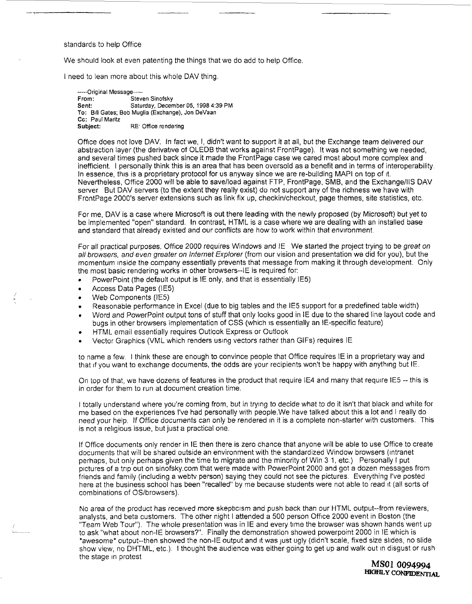## standards to help Office

We should look at even patenting the things that we do add to help Office.

I need to lean more about this whole DAV thing.

.... Original Message ..... From: Steven Sinofsky Sent: Saturday, December 05, 1998 4:39 PM To: Bill Gates; Bob Muglia (Exchange), Jon DeVaan Cc: Paul Maritz Subject: RE Office rendering

Office does not love DAV. In fact we, I, didn't want to support it at all, but the Exchange team delwered our abstraction layer (the derivative of OLEDB that works against FrontPage). It was not something we needed, and several times pushed back since it made the FrontPage case we cared most about more complex and inefficient. I personally think this is an area that has been oversold as a benefit and in terms of interoperability. In essence, this is a proprietary protocol for us anyway since we are re-building MAPI on top of it. Nevertheless, Office 2000 will be able to save/load against FTP, FrontPage, SMB, and the Exchange/llS DAV server But DAV servers (to the extent they really exist) do not support any of the richness we have with FrontPage 2000's server extensions such as link fix up, checkin/checkout, page themes, site statistics, etc.

For me, DAV is a case where Microsoft is out there leading with the newly proposed (by Microsoft) but yet to be implemented "open" standard. In contrast, HTML is a case where we are dealing with an installed base and standard that already existed and our conflicts are how to work within that enwronment.

For all practical purposes. Office 2000 requires Windows and IE We started the project trying to be great on all browsers, and even greater on Internet Explorer (from our vision and presentation we did for you), but the momentum inside the company essentially prevents that message from making it through development. Only the most basic rendering works in other browsers--IE is required for:

- $\bullet$  PowerPoint (the default output is IE only, and that is essentially IE5)
- Access Data Pages (IE5)
- Web Components (IE5)
- Reasonable performance in Excel (due to big tables and the IE5 support for a predefined table width)
- ¯ Word and PowerPoint output tons of stuff that only looks good in IE due to the shared line layout code and bugs in other browsers implementation of CSS (which is essentially an IE-specific feature)
- HTML email essentially requires Outlook Express or Outlook
- Vector Graphics (VML which renders using vectors rather than GIFs) requires IE

to name a few. I think these are enough to convince people that Office requires IE in a proprietary way and that if you want to exchange documents, the odds are your recipients won't be happy with anything but IE.

On top of that, we have dozens of features in the product that require IE4 and many that require IE5 -- this is in order for them to run at document creation time.

I totally understand where you're coming from, but in trying to decide what to do it isn't that black and white for me based on the experiences l've had personally with people.We have talked about this a lot and I really do need your help. If Office documents can only be rendered in it is a complete non-starter with customers. This is not a rehgious issue, but just a practical one.

If Office documents only render in IE then there is zero chance that anyone will be able to use Office to create documents that will be shared outside an environment with the standardized Window browsers (intranet perhaps, but only perhaps given the time to migrate and the minority of Win 3 1, etc.) Personally I put pictures of a trip out on sinofsky.com that were made with PowerPoint 2000 and got a dozen messages from friends and family (including a webtv person) saying they could not see the pictures. Everything I've posted here at the business school has been "recalled" by me because students were not able to read it (all sorts of combinations of OS/browsers).

No area of the product has recewed more skepticism and push back than our HTML output--from reviewers, analysts, and beta customers. The other night I attended a 500 person Office 2000 event in Boston (the "Team Web Tour"). The whole presentation was in IE and every time the browser was shown hands went up to ask "what about non-lE browsers?". Finally the demonstration showed powerpoint 2000 in IE which is \*awesome\* output--then showed the non-lE output and it was just ugly (didn't scale, fixed size slides, no slide show view, no DHTML, etc.). I thought the audience was either going to get up and walk out in disgust or rush the stage in protest

**MS0| 0094994** HIGHLY CONFIDENTIAL